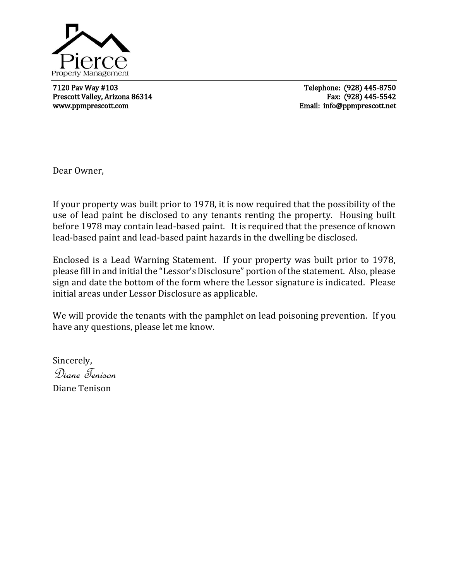

7120 Pav Way #103 Telephone: (928) 445-8750 Prescott Valley, Arizona 86314 Fax: (928) 445-5542 www.ppmprescott.com example and the example of the example of the Email: info@ppmprescott.net

L

Dear Owner,

If your property was built prior to 1978, it is now required that the possibility of the use of lead paint be disclosed to any tenants renting the property. Housing built before 1978 may contain lead-based paint. It is required that the presence of known lead-based paint and lead-based paint hazards in the dwelling be disclosed.

Enclosed is a Lead Warning Statement. If your property was built prior to 1978, please fill in and initial the "Lessor's Disclosure" portion of the statement. Also, please sign and date the bottom of the form where the Lessor signature is indicated. Please initial areas under Lessor Disclosure as applicable.

We will provide the tenants with the pamphlet on lead poisoning prevention. If you have any questions, please let me know.

Sincerely, Diane Tenison Diane Tenison